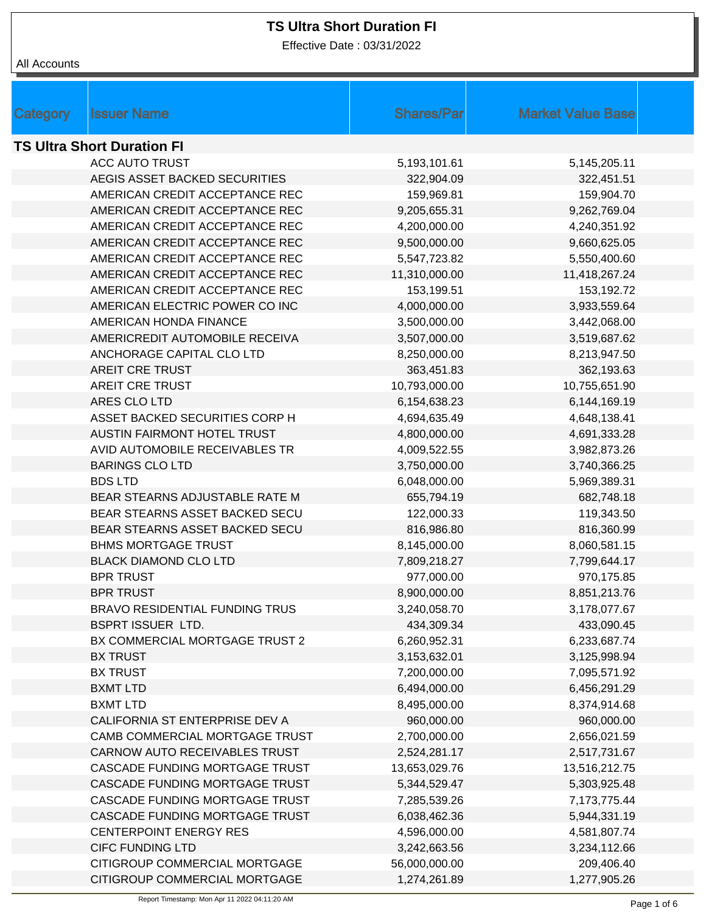Effective Date : 03/31/2022

| Category                          | <b>Issuer Name</b>                    | <b>Shares/Par</b>            | <b>Market Value Base</b>     |  |  |
|-----------------------------------|---------------------------------------|------------------------------|------------------------------|--|--|
| <b>TS Ultra Short Duration FI</b> |                                       |                              |                              |  |  |
|                                   | <b>ACC AUTO TRUST</b>                 | 5,193,101.61                 | 5,145,205.11                 |  |  |
|                                   | AEGIS ASSET BACKED SECURITIES         | 322,904.09                   | 322,451.51                   |  |  |
|                                   | AMERICAN CREDIT ACCEPTANCE REC        | 159,969.81                   | 159,904.70                   |  |  |
|                                   | AMERICAN CREDIT ACCEPTANCE REC        | 9,205,655.31                 | 9,262,769.04                 |  |  |
|                                   | AMERICAN CREDIT ACCEPTANCE REC        | 4,200,000.00                 | 4,240,351.92                 |  |  |
|                                   | AMERICAN CREDIT ACCEPTANCE REC        | 9,500,000.00                 | 9,660,625.05                 |  |  |
|                                   | AMERICAN CREDIT ACCEPTANCE REC        | 5,547,723.82                 | 5,550,400.60                 |  |  |
|                                   | AMERICAN CREDIT ACCEPTANCE REC        | 11,310,000.00                | 11,418,267.24                |  |  |
|                                   | AMERICAN CREDIT ACCEPTANCE REC        | 153,199.51                   | 153,192.72                   |  |  |
|                                   | AMERICAN ELECTRIC POWER CO INC        | 4,000,000.00                 | 3,933,559.64                 |  |  |
|                                   | AMERICAN HONDA FINANCE                | 3,500,000.00                 | 3,442,068.00                 |  |  |
|                                   | AMERICREDIT AUTOMOBILE RECEIVA        | 3,507,000.00                 | 3,519,687.62                 |  |  |
|                                   | ANCHORAGE CAPITAL CLO LTD             | 8,250,000.00                 | 8,213,947.50                 |  |  |
|                                   | <b>AREIT CRE TRUST</b>                | 363,451.83                   | 362,193.63                   |  |  |
|                                   | <b>AREIT CRE TRUST</b>                | 10,793,000.00                | 10,755,651.90                |  |  |
|                                   | ARES CLO LTD                          | 6,154,638.23                 | 6,144,169.19                 |  |  |
|                                   | ASSET BACKED SECURITIES CORP H        | 4,694,635.49                 | 4,648,138.41                 |  |  |
|                                   | <b>AUSTIN FAIRMONT HOTEL TRUST</b>    | 4,800,000.00                 | 4,691,333.28                 |  |  |
|                                   | AVID AUTOMOBILE RECEIVABLES TR        | 4,009,522.55                 | 3,982,873.26                 |  |  |
|                                   | <b>BARINGS CLO LTD</b>                | 3,750,000.00                 | 3,740,366.25                 |  |  |
|                                   | <b>BDS LTD</b>                        | 6,048,000.00                 | 5,969,389.31                 |  |  |
|                                   | BEAR STEARNS ADJUSTABLE RATE M        | 655,794.19                   | 682,748.18                   |  |  |
|                                   | BEAR STEARNS ASSET BACKED SECU        | 122,000.33                   | 119,343.50                   |  |  |
|                                   | BEAR STEARNS ASSET BACKED SECU        | 816,986.80                   | 816,360.99                   |  |  |
|                                   | <b>BHMS MORTGAGE TRUST</b>            | 8,145,000.00                 | 8,060,581.15                 |  |  |
|                                   | <b>BLACK DIAMOND CLO LTD</b>          | 7,809,218.27                 | 7,799,644.17                 |  |  |
|                                   | <b>BPR TRUST</b>                      | 977,000.00                   | 970,175.85                   |  |  |
|                                   | <b>BPR TRUST</b>                      | 8,900,000.00                 | 8,851,213.76                 |  |  |
|                                   | <b>BRAVO RESIDENTIAL FUNDING TRUS</b> | 3,240,058.70                 | 3,178,077.67                 |  |  |
|                                   | <b>BSPRT ISSUER LTD.</b>              | 434,309.34                   | 433,090.45                   |  |  |
|                                   | BX COMMERCIAL MORTGAGE TRUST 2        | 6,260,952.31                 | 6,233,687.74                 |  |  |
|                                   | <b>BX TRUST</b>                       | 3,153,632.01                 | 3,125,998.94                 |  |  |
|                                   | <b>BX TRUST</b>                       | 7,200,000.00                 | 7,095,571.92                 |  |  |
|                                   | <b>BXMT LTD</b>                       | 6,494,000.00                 | 6,456,291.29                 |  |  |
|                                   | <b>BXMT LTD</b>                       | 8,495,000.00                 | 8,374,914.68                 |  |  |
|                                   | CALIFORNIA ST ENTERPRISE DEV A        | 960,000.00                   | 960,000.00                   |  |  |
|                                   | CAMB COMMERCIAL MORTGAGE TRUST        | 2,700,000.00                 | 2,656,021.59                 |  |  |
|                                   | CARNOW AUTO RECEIVABLES TRUST         | 2,524,281.17                 | 2,517,731.67                 |  |  |
|                                   | CASCADE FUNDING MORTGAGE TRUST        | 13,653,029.76                | 13,516,212.75                |  |  |
|                                   | CASCADE FUNDING MORTGAGE TRUST        | 5,344,529.47                 | 5,303,925.48                 |  |  |
|                                   | CASCADE FUNDING MORTGAGE TRUST        | 7,285,539.26                 | 7,173,775.44                 |  |  |
|                                   | CASCADE FUNDING MORTGAGE TRUST        | 6,038,462.36                 | 5,944,331.19                 |  |  |
|                                   | <b>CENTERPOINT ENERGY RES</b>         |                              |                              |  |  |
|                                   | <b>CIFC FUNDING LTD</b>               | 4,596,000.00<br>3,242,663.56 | 4,581,807.74<br>3,234,112.66 |  |  |
|                                   | CITIGROUP COMMERCIAL MORTGAGE         | 56,000,000.00                | 209,406.40                   |  |  |
|                                   | CITIGROUP COMMERCIAL MORTGAGE         | 1,274,261.89                 | 1,277,905.26                 |  |  |
|                                   |                                       |                              |                              |  |  |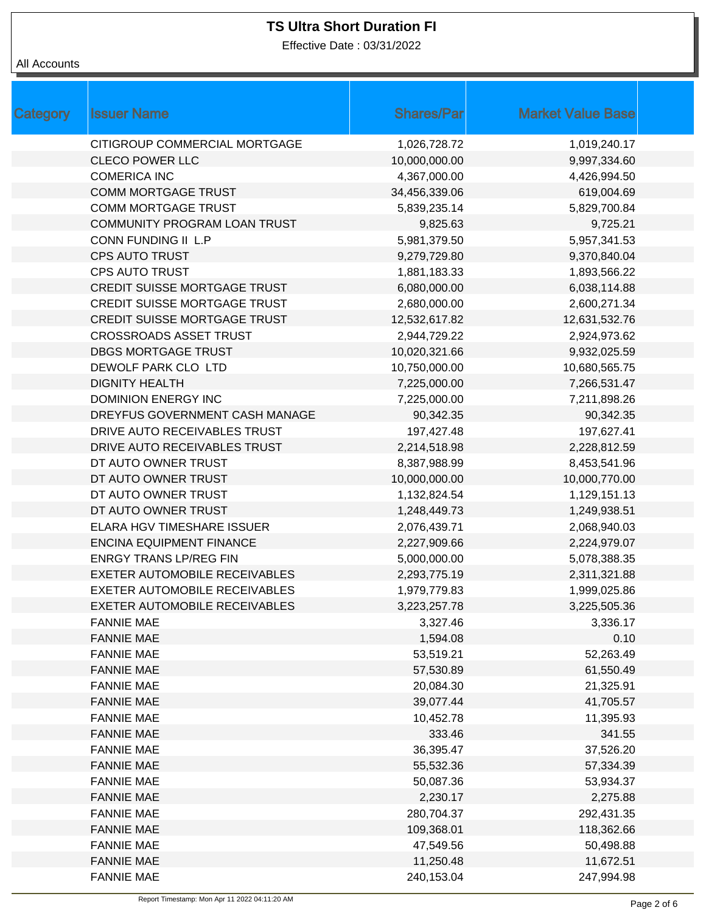Effective Date : 03/31/2022

| <b>Category</b> | <b>Issuer Name</b>                   | <b>Shares/Par</b> | <b>Market Value Base</b> |
|-----------------|--------------------------------------|-------------------|--------------------------|
|                 | CITIGROUP COMMERCIAL MORTGAGE        | 1,026,728.72      | 1,019,240.17             |
|                 | <b>CLECO POWER LLC</b>               | 10,000,000.00     | 9,997,334.60             |
|                 | <b>COMERICA INC</b>                  | 4,367,000.00      | 4,426,994.50             |
|                 | COMM MORTGAGE TRUST                  | 34,456,339.06     | 619,004.69               |
|                 | <b>COMM MORTGAGE TRUST</b>           | 5,839,235.14      | 5,829,700.84             |
|                 | <b>COMMUNITY PROGRAM LOAN TRUST</b>  | 9,825.63          | 9,725.21                 |
|                 | CONN FUNDING II L.P                  | 5,981,379.50      | 5,957,341.53             |
|                 | <b>CPS AUTO TRUST</b>                | 9,279,729.80      | 9,370,840.04             |
|                 | <b>CPS AUTO TRUST</b>                | 1,881,183.33      | 1,893,566.22             |
|                 | <b>CREDIT SUISSE MORTGAGE TRUST</b>  | 6,080,000.00      | 6,038,114.88             |
|                 | <b>CREDIT SUISSE MORTGAGE TRUST</b>  | 2,680,000.00      | 2,600,271.34             |
|                 | <b>CREDIT SUISSE MORTGAGE TRUST</b>  | 12,532,617.82     | 12,631,532.76            |
|                 | <b>CROSSROADS ASSET TRUST</b>        | 2,944,729.22      | 2,924,973.62             |
|                 | <b>DBGS MORTGAGE TRUST</b>           | 10,020,321.66     | 9,932,025.59             |
|                 | DEWOLF PARK CLO LTD                  | 10,750,000.00     | 10,680,565.75            |
|                 | <b>DIGNITY HEALTH</b>                | 7,225,000.00      | 7,266,531.47             |
|                 | <b>DOMINION ENERGY INC</b>           | 7,225,000.00      | 7,211,898.26             |
|                 | DREYFUS GOVERNMENT CASH MANAGE       | 90,342.35         | 90,342.35                |
|                 | DRIVE AUTO RECEIVABLES TRUST         | 197,427.48        | 197,627.41               |
|                 | DRIVE AUTO RECEIVABLES TRUST         | 2,214,518.98      | 2,228,812.59             |
|                 | DT AUTO OWNER TRUST                  | 8,387,988.99      | 8,453,541.96             |
|                 | DT AUTO OWNER TRUST                  | 10,000,000.00     | 10,000,770.00            |
|                 | DT AUTO OWNER TRUST                  | 1,132,824.54      | 1,129,151.13             |
|                 | DT AUTO OWNER TRUST                  | 1,248,449.73      | 1,249,938.51             |
|                 | ELARA HGV TIMESHARE ISSUER           | 2,076,439.71      | 2,068,940.03             |
|                 | <b>ENCINA EQUIPMENT FINANCE</b>      | 2,227,909.66      | 2,224,979.07             |
|                 | <b>ENRGY TRANS LP/REG FIN</b>        | 5,000,000.00      | 5,078,388.35             |
|                 | <b>EXETER AUTOMOBILE RECEIVABLES</b> | 2,293,775.19      | 2,311,321.88             |
|                 | EXETER AUTOMOBILE RECEIVABLES        | 1,979,779.83      | 1,999,025.86             |
|                 | EXETER AUTOMOBILE RECEIVABLES        | 3,223,257.78      | 3,225,505.36             |
|                 | <b>FANNIE MAE</b>                    | 3,327.46          | 3,336.17                 |
|                 | <b>FANNIE MAE</b>                    | 1,594.08          | 0.10                     |
|                 | <b>FANNIE MAE</b>                    | 53,519.21         | 52,263.49                |
|                 | <b>FANNIE MAE</b>                    | 57,530.89         | 61,550.49                |
|                 | <b>FANNIE MAE</b>                    | 20,084.30         | 21,325.91                |
|                 | <b>FANNIE MAE</b>                    | 39,077.44         | 41,705.57                |
|                 | <b>FANNIE MAE</b>                    | 10,452.78         | 11,395.93                |
|                 | <b>FANNIE MAE</b>                    | 333.46            | 341.55                   |
|                 | <b>FANNIE MAE</b>                    | 36,395.47         | 37,526.20                |
|                 | <b>FANNIE MAE</b>                    | 55,532.36         | 57,334.39                |
|                 | <b>FANNIE MAE</b>                    | 50,087.36         | 53,934.37                |
|                 | <b>FANNIE MAE</b>                    | 2,230.17          | 2,275.88                 |
|                 | <b>FANNIE MAE</b>                    | 280,704.37        | 292,431.35               |
|                 | <b>FANNIE MAE</b>                    | 109,368.01        | 118,362.66               |
|                 | <b>FANNIE MAE</b>                    | 47,549.56         | 50,498.88                |
|                 | <b>FANNIE MAE</b>                    | 11,250.48         | 11,672.51                |
|                 | <b>FANNIE MAE</b>                    | 240,153.04        | 247,994.98               |
|                 |                                      |                   |                          |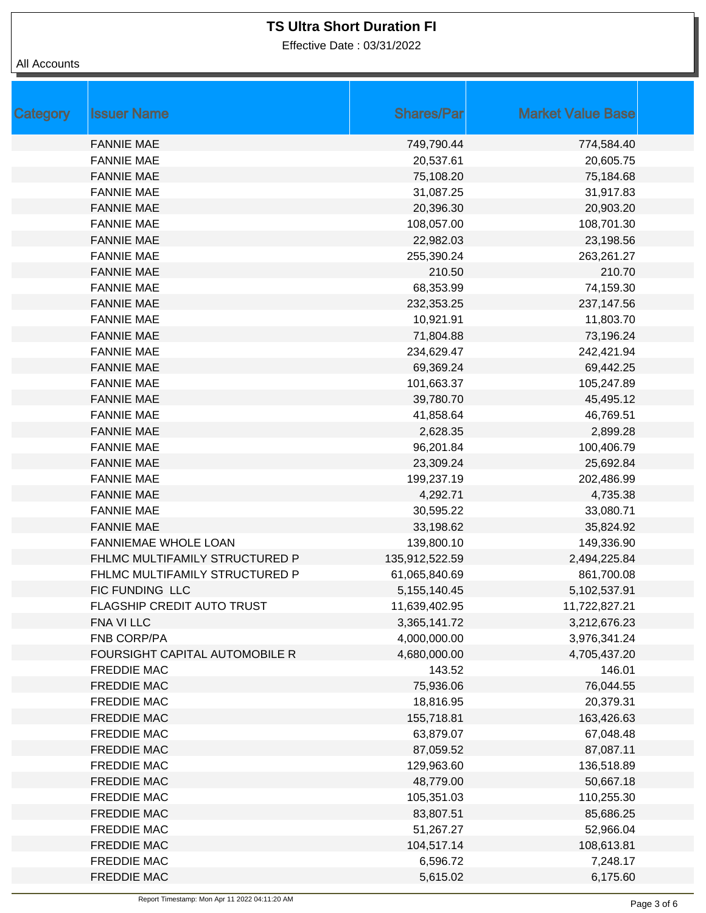Effective Date : 03/31/2022

| Category | <b>Issuer Name</b>             | <b>Shares/Par</b> | <b>Market Value Base</b> |  |
|----------|--------------------------------|-------------------|--------------------------|--|
|          | <b>FANNIE MAE</b>              | 749,790.44        | 774,584.40               |  |
|          | <b>FANNIE MAE</b>              | 20,537.61         | 20,605.75                |  |
|          | <b>FANNIE MAE</b>              | 75,108.20         | 75,184.68                |  |
|          | <b>FANNIE MAE</b>              | 31,087.25         | 31,917.83                |  |
|          | <b>FANNIE MAE</b>              | 20,396.30         | 20,903.20                |  |
|          | <b>FANNIE MAE</b>              | 108,057.00        | 108,701.30               |  |
|          | <b>FANNIE MAE</b>              | 22,982.03         | 23,198.56                |  |
|          | <b>FANNIE MAE</b>              | 255,390.24        | 263,261.27               |  |
|          | <b>FANNIE MAE</b>              | 210.50            | 210.70                   |  |
|          | <b>FANNIE MAE</b>              | 68,353.99         | 74,159.30                |  |
|          | <b>FANNIE MAE</b>              | 232,353.25        | 237,147.56               |  |
|          | <b>FANNIE MAE</b>              | 10,921.91         | 11,803.70                |  |
|          | <b>FANNIE MAE</b>              | 71,804.88         | 73,196.24                |  |
|          | <b>FANNIE MAE</b>              | 234,629.47        | 242,421.94               |  |
|          | <b>FANNIE MAE</b>              | 69,369.24         | 69,442.25                |  |
|          | <b>FANNIE MAE</b>              | 101,663.37        | 105,247.89               |  |
|          | <b>FANNIE MAE</b>              | 39,780.70         | 45,495.12                |  |
|          | <b>FANNIE MAE</b>              | 41,858.64         | 46,769.51                |  |
|          | <b>FANNIE MAE</b>              | 2,628.35          | 2,899.28                 |  |
|          | <b>FANNIE MAE</b>              | 96,201.84         | 100,406.79               |  |
|          | <b>FANNIE MAE</b>              | 23,309.24         | 25,692.84                |  |
|          | <b>FANNIE MAE</b>              | 199,237.19        | 202,486.99               |  |
|          | <b>FANNIE MAE</b>              | 4,292.71          | 4,735.38                 |  |
|          | <b>FANNIE MAE</b>              | 30,595.22         | 33,080.71                |  |
|          | <b>FANNIE MAE</b>              | 33,198.62         | 35,824.92                |  |
|          | FANNIEMAE WHOLE LOAN           | 139,800.10        | 149,336.90               |  |
|          | FHLMC MULTIFAMILY STRUCTURED P | 135,912,522.59    | 2,494,225.84             |  |
|          | FHLMC MULTIFAMILY STRUCTURED P | 61,065,840.69     | 861,700.08               |  |
|          | FIC FUNDING LLC                | 5, 155, 140. 45   | 5,102,537.91             |  |
|          | FLAGSHIP CREDIT AUTO TRUST     | 11,639,402.95     | 11,722,827.21            |  |
|          | FNA VI LLC                     | 3,365,141.72      | 3,212,676.23             |  |
|          | FNB CORP/PA                    | 4,000,000.00      | 3,976,341.24             |  |
|          | FOURSIGHT CAPITAL AUTOMOBILE R | 4,680,000.00      | 4,705,437.20             |  |
|          | <b>FREDDIE MAC</b>             | 143.52            | 146.01                   |  |
|          | FREDDIE MAC                    | 75,936.06         | 76,044.55                |  |
|          | FREDDIE MAC                    | 18,816.95         | 20,379.31                |  |
|          | <b>FREDDIE MAC</b>             | 155,718.81        | 163,426.63               |  |
|          | <b>FREDDIE MAC</b>             | 63,879.07         | 67,048.48                |  |
|          | <b>FREDDIE MAC</b>             | 87,059.52         | 87,087.11                |  |
|          | <b>FREDDIE MAC</b>             | 129,963.60        | 136,518.89               |  |
|          | FREDDIE MAC                    | 48,779.00         | 50,667.18                |  |
|          | <b>FREDDIE MAC</b>             | 105,351.03        | 110,255.30               |  |
|          | FREDDIE MAC                    | 83,807.51         | 85,686.25                |  |
|          | <b>FREDDIE MAC</b>             | 51,267.27         | 52,966.04                |  |
|          | <b>FREDDIE MAC</b>             | 104,517.14        | 108,613.81               |  |
|          | <b>FREDDIE MAC</b>             | 6,596.72          | 7,248.17                 |  |
|          | FREDDIE MAC                    | 5,615.02          | 6,175.60                 |  |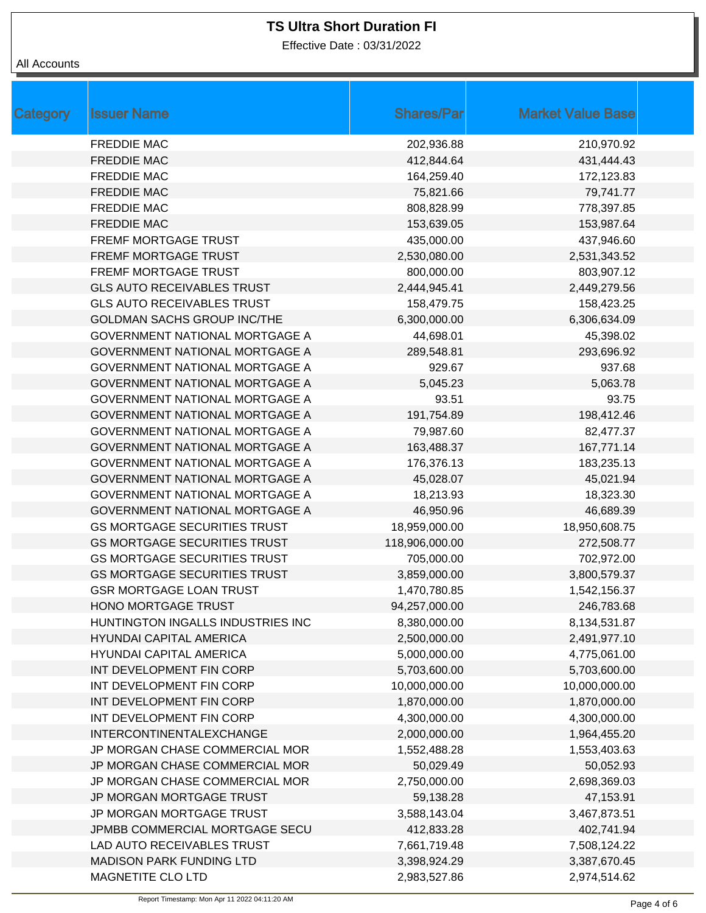Effective Date : 03/31/2022

| Category | <b>Issuer Name</b>                  | <b>Shares/Par</b> | <b>Market Value Base</b> |
|----------|-------------------------------------|-------------------|--------------------------|
|          | <b>FREDDIE MAC</b>                  | 202,936.88        | 210,970.92               |
|          | <b>FREDDIE MAC</b>                  | 412,844.64        | 431,444.43               |
|          | <b>FREDDIE MAC</b>                  | 164,259.40        | 172,123.83               |
|          | <b>FREDDIE MAC</b>                  | 75,821.66         | 79,741.77                |
|          | <b>FREDDIE MAC</b>                  | 808,828.99        | 778,397.85               |
|          | <b>FREDDIE MAC</b>                  | 153,639.05        | 153,987.64               |
|          | <b>FREMF MORTGAGE TRUST</b>         | 435,000.00        | 437,946.60               |
|          | FREMF MORTGAGE TRUST                | 2,530,080.00      | 2,531,343.52             |
|          | FREMF MORTGAGE TRUST                | 800,000.00        | 803,907.12               |
|          | <b>GLS AUTO RECEIVABLES TRUST</b>   | 2,444,945.41      | 2,449,279.56             |
|          | <b>GLS AUTO RECEIVABLES TRUST</b>   | 158,479.75        | 158,423.25               |
|          | <b>GOLDMAN SACHS GROUP INC/THE</b>  | 6,300,000.00      | 6,306,634.09             |
|          | GOVERNMENT NATIONAL MORTGAGE A      | 44,698.01         | 45,398.02                |
|          | GOVERNMENT NATIONAL MORTGAGE A      | 289,548.81        | 293,696.92               |
|          | GOVERNMENT NATIONAL MORTGAGE A      | 929.67            | 937.68                   |
|          | GOVERNMENT NATIONAL MORTGAGE A      | 5,045.23          | 5,063.78                 |
|          | GOVERNMENT NATIONAL MORTGAGE A      | 93.51             | 93.75                    |
|          | GOVERNMENT NATIONAL MORTGAGE A      | 191,754.89        | 198,412.46               |
|          | GOVERNMENT NATIONAL MORTGAGE A      | 79,987.60         | 82,477.37                |
|          | GOVERNMENT NATIONAL MORTGAGE A      | 163,488.37        | 167,771.14               |
|          | GOVERNMENT NATIONAL MORTGAGE A      | 176,376.13        | 183,235.13               |
|          | GOVERNMENT NATIONAL MORTGAGE A      | 45,028.07         | 45,021.94                |
|          | GOVERNMENT NATIONAL MORTGAGE A      | 18,213.93         | 18,323.30                |
|          | GOVERNMENT NATIONAL MORTGAGE A      | 46,950.96         | 46,689.39                |
|          | <b>GS MORTGAGE SECURITIES TRUST</b> | 18,959,000.00     | 18,950,608.75            |
|          | <b>GS MORTGAGE SECURITIES TRUST</b> | 118,906,000.00    | 272,508.77               |
|          | <b>GS MORTGAGE SECURITIES TRUST</b> | 705,000.00        | 702,972.00               |
|          | <b>GS MORTGAGE SECURITIES TRUST</b> | 3,859,000.00      | 3,800,579.37             |
|          | <b>GSR MORTGAGE LOAN TRUST</b>      | 1,470,780.85      | 1,542,156.37             |
|          | <b>HONO MORTGAGE TRUST</b>          | 94,257,000.00     | 246,783.68               |
|          | HUNTINGTON INGALLS INDUSTRIES INC   | 8,380,000.00      | 8,134,531.87             |
|          | <b>HYUNDAI CAPITAL AMERICA</b>      | 2,500,000.00      | 2,491,977.10             |
|          | <b>HYUNDAI CAPITAL AMERICA</b>      | 5,000,000.00      | 4,775,061.00             |
|          | INT DEVELOPMENT FIN CORP            | 5,703,600.00      | 5,703,600.00             |
|          | INT DEVELOPMENT FIN CORP            | 10,000,000.00     | 10,000,000.00            |
|          | INT DEVELOPMENT FIN CORP            | 1,870,000.00      | 1,870,000.00             |
|          | INT DEVELOPMENT FIN CORP            | 4,300,000.00      | 4,300,000.00             |
|          | INTERCONTINENTALEXCHANGE            | 2,000,000.00      | 1,964,455.20             |
|          | JP MORGAN CHASE COMMERCIAL MOR      | 1,552,488.28      | 1,553,403.63             |
|          | JP MORGAN CHASE COMMERCIAL MOR      | 50,029.49         | 50,052.93                |
|          | JP MORGAN CHASE COMMERCIAL MOR      | 2,750,000.00      | 2,698,369.03             |
|          | JP MORGAN MORTGAGE TRUST            | 59,138.28         | 47,153.91                |
|          | JP MORGAN MORTGAGE TRUST            | 3,588,143.04      | 3,467,873.51             |
|          | JPMBB COMMERCIAL MORTGAGE SECU      | 412,833.28        | 402,741.94               |
|          | LAD AUTO RECEIVABLES TRUST          | 7,661,719.48      | 7,508,124.22             |
|          | <b>MADISON PARK FUNDING LTD</b>     | 3,398,924.29      | 3,387,670.45             |
|          | MAGNETITE CLO LTD                   | 2,983,527.86      | 2,974,514.62             |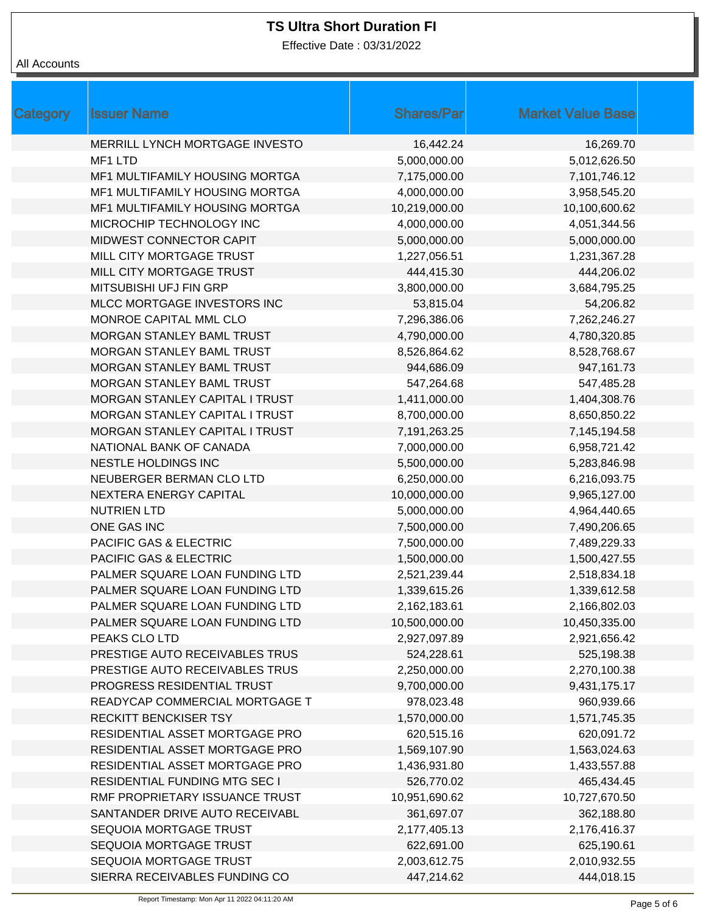Effective Date : 03/31/2022

| Category | <b>Issuer Name</b>                    | <b>Shares/Par</b> | <b>Market Value Base</b> |
|----------|---------------------------------------|-------------------|--------------------------|
|          | MERRILL LYNCH MORTGAGE INVESTO        | 16,442.24         | 16,269.70                |
|          | MF1 LTD                               | 5,000,000.00      | 5,012,626.50             |
|          | MF1 MULTIFAMILY HOUSING MORTGA        | 7,175,000.00      | 7,101,746.12             |
|          | <b>MF1 MULTIFAMILY HOUSING MORTGA</b> | 4,000,000.00      | 3,958,545.20             |
|          | MF1 MULTIFAMILY HOUSING MORTGA        | 10,219,000.00     | 10,100,600.62            |
|          | MICROCHIP TECHNOLOGY INC              | 4,000,000.00      | 4,051,344.56             |
|          | MIDWEST CONNECTOR CAPIT               | 5,000,000.00      | 5,000,000.00             |
|          | MILL CITY MORTGAGE TRUST              | 1,227,056.51      | 1,231,367.28             |
|          | MILL CITY MORTGAGE TRUST              | 444,415.30        | 444,206.02               |
|          | MITSUBISHI UFJ FIN GRP                | 3,800,000.00      | 3,684,795.25             |
|          | MLCC MORTGAGE INVESTORS INC           | 53,815.04         | 54,206.82                |
|          | MONROE CAPITAL MML CLO                | 7,296,386.06      | 7,262,246.27             |
|          | MORGAN STANLEY BAML TRUST             | 4,790,000.00      | 4,780,320.85             |
|          | MORGAN STANLEY BAML TRUST             | 8,526,864.62      | 8,528,768.67             |
|          | MORGAN STANLEY BAML TRUST             | 944,686.09        | 947,161.73               |
|          | MORGAN STANLEY BAML TRUST             | 547,264.68        | 547,485.28               |
|          | MORGAN STANLEY CAPITAL I TRUST        | 1,411,000.00      | 1,404,308.76             |
|          | MORGAN STANLEY CAPITAL I TRUST        | 8,700,000.00      | 8,650,850.22             |
|          | MORGAN STANLEY CAPITAL I TRUST        | 7,191,263.25      | 7,145,194.58             |
|          | NATIONAL BANK OF CANADA               | 7,000,000.00      | 6,958,721.42             |
|          | NESTLE HOLDINGS INC                   | 5,500,000.00      | 5,283,846.98             |
|          | NEUBERGER BERMAN CLO LTD              | 6,250,000.00      | 6,216,093.75             |
|          | NEXTERA ENERGY CAPITAL                | 10,000,000.00     | 9,965,127.00             |
|          | <b>NUTRIEN LTD</b>                    | 5,000,000.00      | 4,964,440.65             |
|          | ONE GAS INC                           | 7,500,000.00      | 7,490,206.65             |
|          | PACIFIC GAS & ELECTRIC                | 7,500,000.00      | 7,489,229.33             |
|          | PACIFIC GAS & ELECTRIC                | 1,500,000.00      | 1,500,427.55             |
|          | PALMER SQUARE LOAN FUNDING LTD        | 2,521,239.44      | 2,518,834.18             |
|          | PALMER SQUARE LOAN FUNDING LTD        | 1,339,615.26      | 1,339,612.58             |
|          | PALMER SQUARE LOAN FUNDING LTD        | 2,162,183.61      | 2,166,802.03             |
|          | PALMER SQUARE LOAN FUNDING LTD        | 10,500,000.00     | 10,450,335.00            |
|          | PEAKS CLO LTD                         | 2,927,097.89      | 2,921,656.42             |
|          | PRESTIGE AUTO RECEIVABLES TRUS        | 524,228.61        | 525,198.38               |
|          | PRESTIGE AUTO RECEIVABLES TRUS        | 2,250,000.00      | 2,270,100.38             |
|          | PROGRESS RESIDENTIAL TRUST            | 9,700,000.00      | 9,431,175.17             |
|          | READYCAP COMMERCIAL MORTGAGE T        | 978,023.48        | 960,939.66               |
|          | <b>RECKITT BENCKISER TSY</b>          | 1,570,000.00      | 1,571,745.35             |
|          | RESIDENTIAL ASSET MORTGAGE PRO        | 620,515.16        | 620,091.72               |
|          | RESIDENTIAL ASSET MORTGAGE PRO        | 1,569,107.90      | 1,563,024.63             |
|          | RESIDENTIAL ASSET MORTGAGE PRO        | 1,436,931.80      | 1,433,557.88             |
|          | RESIDENTIAL FUNDING MTG SEC I         | 526,770.02        | 465,434.45               |
|          | RMF PROPRIETARY ISSUANCE TRUST        | 10,951,690.62     | 10,727,670.50            |
|          | SANTANDER DRIVE AUTO RECEIVABL        | 361,697.07        | 362,188.80               |
|          | SEQUOIA MORTGAGE TRUST                | 2,177,405.13      | 2,176,416.37             |
|          | SEQUOIA MORTGAGE TRUST                | 622,691.00        | 625,190.61               |
|          | SEQUOIA MORTGAGE TRUST                | 2,003,612.75      | 2,010,932.55             |
|          | SIERRA RECEIVABLES FUNDING CO         | 447,214.62        | 444,018.15               |